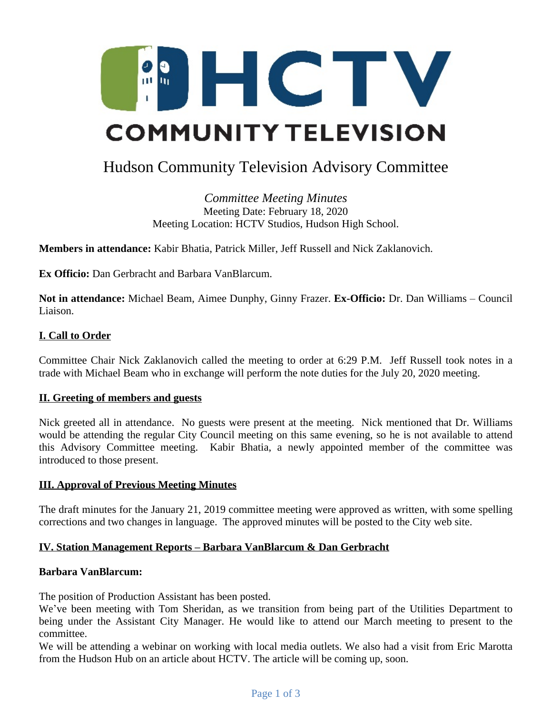

# Hudson Community Television Advisory Committee

*Committee Meeting Minutes* Meeting Date: February 18, 2020 Meeting Location: HCTV Studios, Hudson High School.

**Members in attendance:** Kabir Bhatia, Patrick Miller, Jeff Russell and Nick Zaklanovich.

**Ex Officio:** Dan Gerbracht and Barbara VanBlarcum.

**Not in attendance:** Michael Beam, Aimee Dunphy, Ginny Frazer. **Ex-Officio:** Dr. Dan Williams – Council Liaison.

## **I. Call to Order**

Committee Chair Nick Zaklanovich called the meeting to order at 6:29 P.M. Jeff Russell took notes in a trade with Michael Beam who in exchange will perform the note duties for the July 20, 2020 meeting.

## **II. Greeting of members and guests**

Nick greeted all in attendance. No guests were present at the meeting. Nick mentioned that Dr. Williams would be attending the regular City Council meeting on this same evening, so he is not available to attend this Advisory Committee meeting. Kabir Bhatia, a newly appointed member of the committee was introduced to those present.

## **III. Approval of Previous Meeting Minutes**

The draft minutes for the January 21, 2019 committee meeting were approved as written, with some spelling corrections and two changes in language. The approved minutes will be posted to the City web site.

## **IV. Station Management Reports – Barbara VanBlarcum & Dan Gerbracht**

## **Barbara VanBlarcum:**

The position of Production Assistant has been posted.

We've been meeting with Tom Sheridan, as we transition from being part of the Utilities Department to being under the Assistant City Manager. He would like to attend our March meeting to present to the committee.

We will be attending a webinar on working with local media outlets. We also had a visit from Eric Marotta from the Hudson Hub on an article about HCTV. The article will be coming up, soon.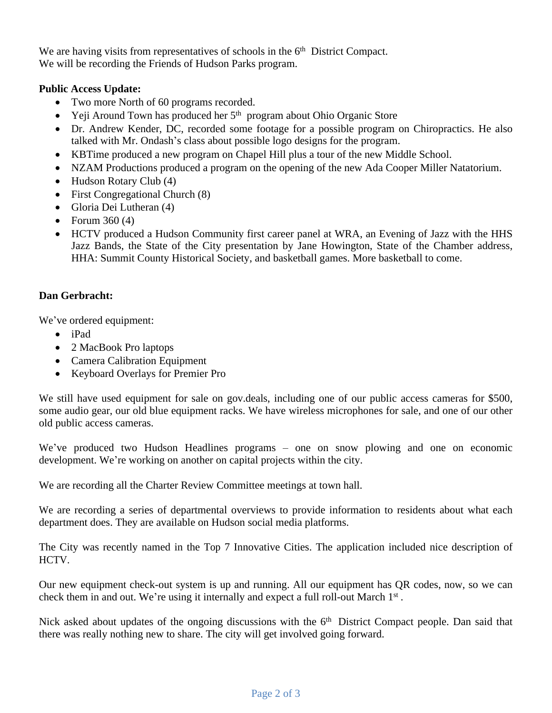We are having visits from representatives of schools in the 6<sup>th</sup> District Compact. We will be recording the Friends of Hudson Parks program.

# **Public Access Update:**

- Two more North of 60 programs recorded.
- $\bullet$  Yeji Around Town has produced her  $5<sup>th</sup>$  program about Ohio Organic Store
- Dr. Andrew Kender, DC, recorded some footage for a possible program on Chiropractics. He also talked with Mr. Ondash's class about possible logo designs for the program.
- KBTime produced a new program on Chapel Hill plus a tour of the new Middle School.
- NZAM Productions produced a program on the opening of the new Ada Cooper Miller Natatorium.
- Hudson Rotary Club (4)
- First Congregational Church (8)
- Gloria Dei Lutheran (4)
- Forum  $360(4)$
- HCTV produced a Hudson Community first career panel at WRA, an Evening of Jazz with the HHS Jazz Bands, the State of the City presentation by Jane Howington, State of the Chamber address, HHA: Summit County Historical Society, and basketball games. More basketball to come.

## **Dan Gerbracht:**

We've ordered equipment:

- iPad
- 2 MacBook Pro laptops
- Camera Calibration Equipment
- Keyboard Overlays for Premier Pro

We still have used equipment for sale on gov.deals, including one of our public access cameras for \$500, some audio gear, our old blue equipment racks. We have wireless microphones for sale, and one of our other old public access cameras.

We've produced two Hudson Headlines programs – one on snow plowing and one on economic development. We're working on another on capital projects within the city.

We are recording all the Charter Review Committee meetings at town hall.

We are recording a series of departmental overviews to provide information to residents about what each department does. They are available on Hudson social media platforms.

The City was recently named in the Top 7 Innovative Cities. The application included nice description of HCTV.

Our new equipment check-out system is up and running. All our equipment has QR codes, now, so we can check them in and out. We're using it internally and expect a full roll-out March 1st.

Nick asked about updates of the ongoing discussions with the 6<sup>th</sup> District Compact people. Dan said that there was really nothing new to share. The city will get involved going forward.